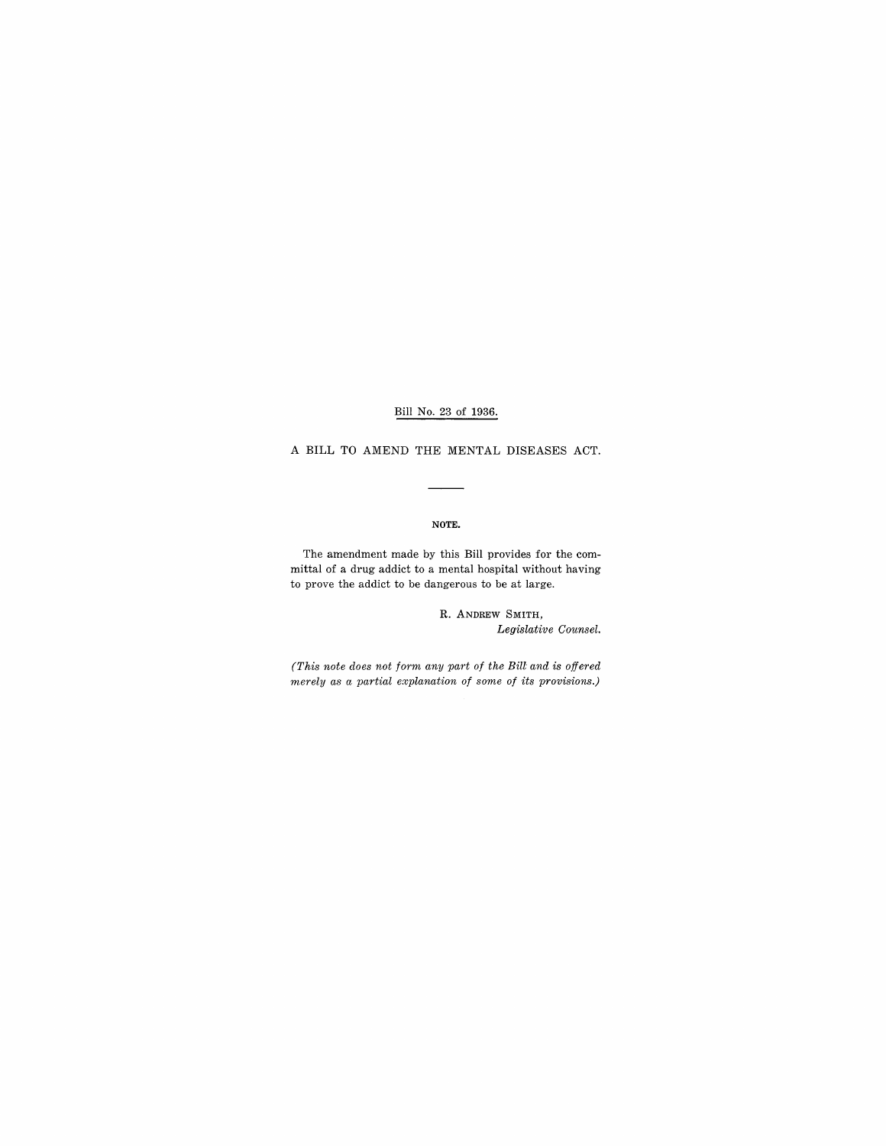Bill No. 23 of 1936.

A BILL TO AMEND THE MENTAL DISEASES ACT.

#### NOTE.

The amendment made by this Bill provides for the committal of a drug addict to a mental hospital without having to prove the addict to be dangerous to be at large.

> R. ANDREW SMITH, *Legislative Counsel.*

*(This note does not form any part of the Bill and is offered merely as a partial explanation of some of its provisions.)*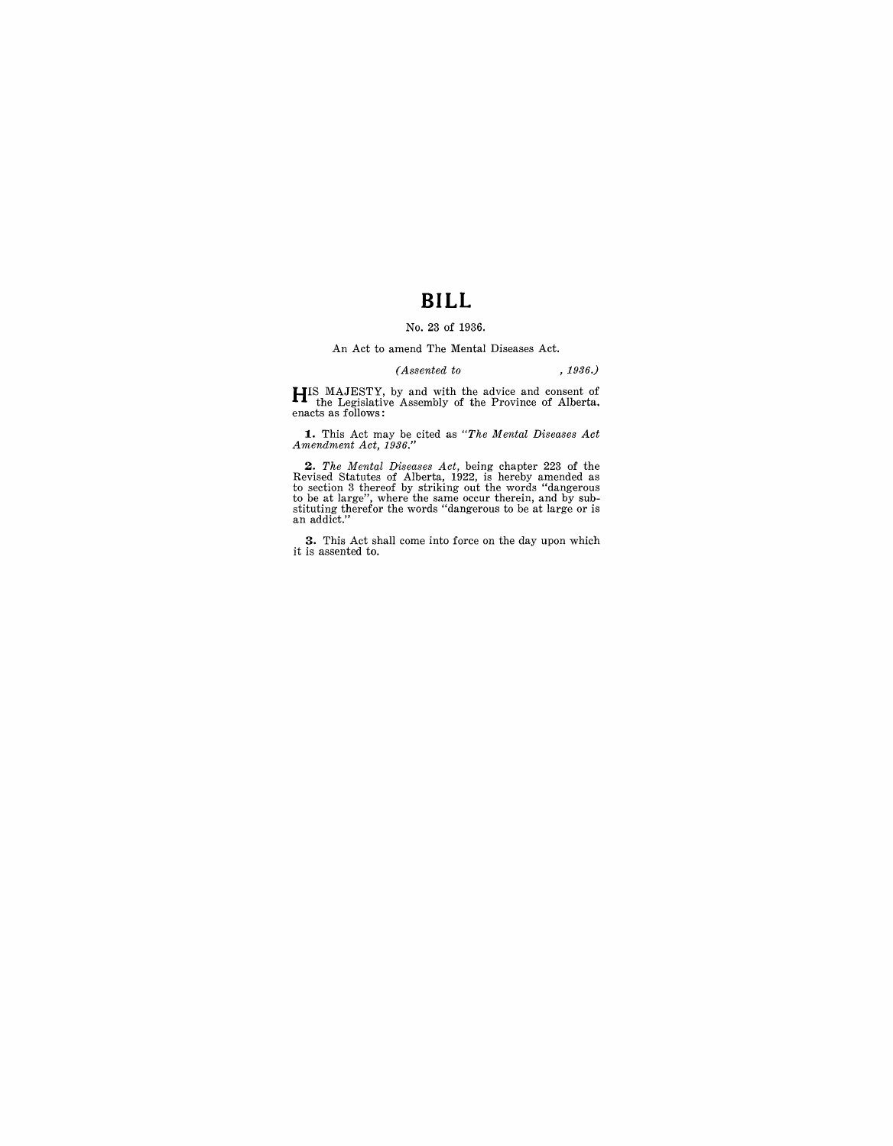# **BILL**

### No. 23 of 1936.

#### An Act to amend The Mental Diseases Act.

## *(Assented to* , 1936.)

**HI**S MAJESTY, by and with the advice and consent of the Legislative Assembly of the Province of Alberta.

**1.** This Act may be cited as *"The Mental Diseases Act Amendment Act, 1936."* 

**2.** The Mental Diseases Act, being chapter 223 of the Revised Statutes of Alberta, 1922, is hereby amended as to section 3 thereof by striking out the words "dangerous to be at large", where the same occur therein, and by

**3.** This Act shall come into force on the day upon which it is assented to.